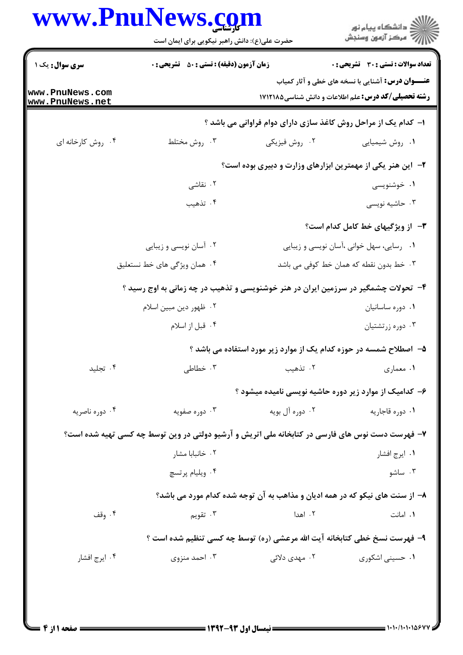## **WWW PnuNews com**

|                                    | www.PnuNews.com<br>حضرت علی(ع): دانش راهبر نیکویی برای ایمان است                                |                                                                              | ڪ دانشڪاه پيام نور<br>/7 مرڪز آزمون وسنڊش                                                         |
|------------------------------------|-------------------------------------------------------------------------------------------------|------------------------------------------------------------------------------|---------------------------------------------------------------------------------------------------|
| <b>سری سوال :</b> یک ۱             | <b>زمان آزمون (دقیقه) : تستی : 50 ٪ تشریحی : 0</b>                                              |                                                                              | تعداد سوالات : تستى : 30 - تشريحي : 0<br><b>عنـــوان درس:</b> آشنایی با نسخه های خطی و آثار کمیاب |
| www.PnuNews.com<br>www.PnuNews.net |                                                                                                 |                                                                              | <b>رشته تحصیلی/کد درس:</b> علم اطلاعات و دانش شناسی1۷۱۲۱۸۵                                        |
|                                    |                                                                                                 | ا- کدام یک از مراحل روش کاغذ سازی دارای دوام فراوانی می باشد ؟               |                                                                                                   |
| ۰۴ روش کارخانه ای                  | ۰۳ روش مختلط                                                                                    | ۰۲ روش فیزیکی                                                                | ۰۱ روش شیمیایی                                                                                    |
|                                    |                                                                                                 | ۲- این هنر یکی از مهمترین ابزارهای وزارت و دبیری بوده است؟                   |                                                                                                   |
|                                    | ۲. نقاشی                                                                                        |                                                                              | ۰۱ خوشنویسی                                                                                       |
|                                    | ۰۴ تذهیب                                                                                        |                                                                              | ۰۳ حاشیه نویسی                                                                                    |
|                                    |                                                                                                 |                                                                              | <b>۳</b> - از ویژگیهای خط کامل کدام است؟                                                          |
|                                    | ۰۲ آسان نویسی و زیبایی                                                                          |                                                                              | ۰۱ رسایی، سهل خوانی ،آسان نویسی و زیبایی                                                          |
|                                    | ۰۴ همان ویژگی های خط نستعلیق                                                                    | ۰۳ خط بدون نقطه که همان خط کوفی می باشد                                      |                                                                                                   |
|                                    | ۴- تحولات چشمگیر در سرزمین ایران در هنر خوشنویسی و تذهیب در چه زمانی به اوج رسید ؟              |                                                                              |                                                                                                   |
|                                    | ۰۲ ظهور دين مبين اسلام                                                                          |                                                                              | ٠١ دوره ساسانيان                                                                                  |
|                                    | ۰۴ قبل از اسلام                                                                                 | ۰۳ دوره زرتشتيان                                                             |                                                                                                   |
|                                    |                                                                                                 | ۵– اصطلاح شمسه در حوزه کدام یک از موارد زیر مورد استفاده می باشد ؟           |                                                                                                   |
| ۰۴ تجليد                           | ۰۳ خطاطی                                                                                        | ۰۲ تذهيب                                                                     | ١. معماري                                                                                         |
|                                    |                                                                                                 | ۶– کدامیک از موارد زیر دوره حاشیه نویسی نامیده میشود ؟                       |                                                                                                   |
| ۰۴ دوره ناصریه                     | ۰۳ دوره صفویه                                                                                   | ۰۲ دوره آل بويه                                                              | ۰۱ دوره قاجاریه                                                                                   |
|                                    | ۷– فهرست دست نوس های فارسی در کتابخانه ملی اتریش و آرشیو دولتی در وین توسط چه کسی تهیه شده است؟ |                                                                              |                                                                                                   |
|                                    | ۰۲ خانبابا مشار                                                                                 |                                                                              | ۰۱ ایرج افشار                                                                                     |
|                                    | ۰۴ ويليام پرتسچ                                                                                 |                                                                              | ۰۳ ساشو                                                                                           |
|                                    |                                                                                                 | ۸– از سنت های نیکو که در همه ادیان و مذاهب به آن توجه شده کدام مورد می باشد؟ |                                                                                                   |
| ۰۴ وقف                             | ۰۳ تقویم                                                                                        | ۰۲ اهدا                                                                      | ۰۱ امانت                                                                                          |
|                                    |                                                                                                 | ۹– فهرست نسخ خطی کتابخانه آیت الله مرعشی (ره) توسط چه کسی تنظیم شده است ؟    |                                                                                                   |
| ۰۴ ایرج افشار                      | ۰۳ احمد منزوی                                                                                   | ۰۲ مهدی دلائ <sub>ی</sub>                                                    | ۰۱ حسینی اشکوری                                                                                   |
|                                    |                                                                                                 |                                                                              |                                                                                                   |
|                                    |                                                                                                 |                                                                              |                                                                                                   |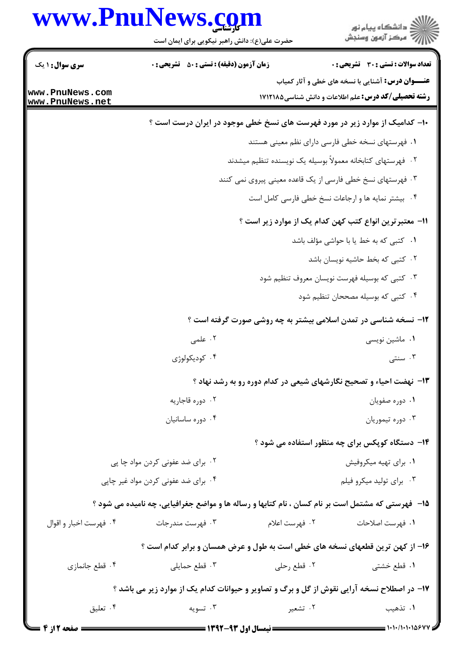## www.PnuNews.com حضرت علی(ع): دانش راهبر نیکویی برای ایمان است

| <b>سری سوال : ۱ یک</b>           | <b>زمان آزمون (دقیقه) : تستی : 50 ٪ تشریحی : 0</b> |                | <b>تعداد سوالات : تستی : 30 ٪ تشریحی : 0</b>                                                      |
|----------------------------------|----------------------------------------------------|----------------|---------------------------------------------------------------------------------------------------|
| www.PnuNews.com                  |                                                    |                | <b>عنـــوان درس:</b> آشنایی با نسخه های خطی و آثار کمیاب                                          |
| www.PnuNews.net                  |                                                    |                | <b>رشته تحصیلی/کد درس:</b> علم اطلاعات و دانش شناسی۵/۱۲۱۸۵                                        |
|                                  |                                                    |                | ∙۱− کدامیک از موارد زیر در مورد فهرست های نسخ خطی موجود در ایران درست است ؟                       |
|                                  |                                                    |                | ۰۱ فهرستهای نسخه خطی فارسی دارای نظم معینی هستند                                                  |
|                                  |                                                    |                | ۰۲ فهرستهای کتابخانه معمولاً بوسیله یک نویسنده تنظیم میشدند                                       |
|                                  |                                                    |                | ۰۳ فهرستهای نسخ خطی فارسی از یک قاعده معینی پیروی نمی کنند                                        |
|                                  |                                                    |                | ۰۴ بیشتر نمایه ها و ارجاعات نسخ خطی فارسی کامل است                                                |
|                                  |                                                    |                | 11– معتبر ترین انواع کتب کهن کدام یک از موارد زیر است ؟                                           |
|                                  |                                                    |                | ۰۱ کتبی که به خط یا با حواشی مؤلف باشد                                                            |
|                                  |                                                    |                | ۰۲ کتبی که بخط حاشیه نویسان باشد                                                                  |
|                                  |                                                    |                | ۰۳ کتبی که بوسیله فهرست نویسان معروف تنظیم شود                                                    |
|                                  |                                                    |                | ۰۴ کتبی که بوسیله مصححان تنظیم شود                                                                |
|                                  |                                                    |                | ۱۲- نسخه شناسی در تمدن اسلامی بیشتر به چه روشی صورت گرفته است ؟                                   |
|                                  | ۰۲ علمی                                            |                | ۰۱ ماشین نویسی                                                                                    |
|                                  | ۰۴ کودیکولوژی                                      |                | ۰۳ سنتی                                                                                           |
|                                  |                                                    |                | ۱۳- نهضت احیاء و تصحیح نگارشهای شیعی در کدام دوره رو به رشد نهاد ؟                                |
|                                  | ۰۲ دوره قاجاریه                                    |                | ٠١ دوره صفويان                                                                                    |
|                                  | ۰۴ دوره ساسانيان                                   |                | ۰۳ دوره تيموريان                                                                                  |
|                                  |                                                    |                | <b>۱۴</b> - دستگاه کوپکس برای چه منظور استفاده می شود ؟                                           |
| ۰۲ برای ضد عفونی کردن مواد چا پی |                                                    |                | ۰۱ برای تهیه میکروفیش                                                                             |
|                                  | ۰۴ برای ضد عفونی کردن مواد غیر چاپی                |                | ۰۳ برای تولید میکرو فیلم                                                                          |
|                                  |                                                    |                | ۱۵– فهرستی که مشتمل است بر نام کسان ، نام کتابها و رساله ها و مواضع جغرافیایی، چه نامیده می شود ؟ |
| ۰۴ فهرست اخبار و اقوال           | ۰۳ فهرست مندرجات                                   | ۰۲ فهرست اعلام | ۰۱ فهرست اصلاحات                                                                                  |
|                                  |                                                    |                | ۱۶- از کهن ترین قطعهای نسخه های خطی است به طول و عرض همسان و برابر کدام است ؟                     |
| ۰۴ قطع جانمازی                   | ۰۳ قطع حمايلي                                      | ۰۲ قطع رحلي    | ۰۱ قطع خشتی                                                                                       |
|                                  |                                                    |                | ۱۷- در اصطلاح نسخه آرایی نقوش از گل و برگ و تصاویر و حیوانات کدام یک از موارد زیر می باشد ؟       |
| ۰۴ تعلیق                         | ۰۳ تسویه                                           | ۰۲ تشعیر       | ۰۱ تذهیب                                                                                          |
| <b>6 صفحه 12ز 4</b>              |                                                    |                |                                                                                                   |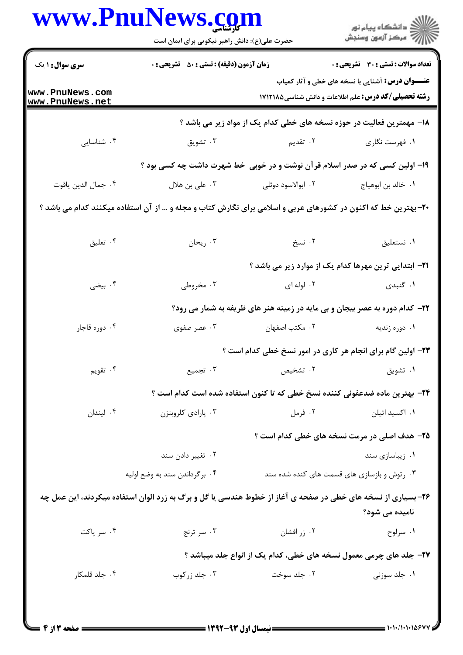|                                    | www.PnuNews.com<br>حضرت علی(ع): دانش راهبر نیکویی برای ایمان است                                               |                                                                             | ِ<br>∭ دانشڪاه پيام نور<br>∭ مرڪز آزمون وسنڊش                                                            |  |
|------------------------------------|----------------------------------------------------------------------------------------------------------------|-----------------------------------------------------------------------------|----------------------------------------------------------------------------------------------------------|--|
|                                    |                                                                                                                |                                                                             |                                                                                                          |  |
| <b>سری سوال :</b> ۱ یک             | <b>زمان آزمون (دقیقه) : تستی : 50 ٪ تشریحی : 0</b>                                                             |                                                                             | <b>تعداد سوالات : تستي : 30 ٪ تشريحي : 0</b><br><b>عنـــوان درس:</b> آشنایی با نسخه های خطی و آثار کمیاب |  |
| www.PnuNews.com<br>www.PnuNews.net |                                                                                                                |                                                                             | <b>رشته تحصیلی/کد درس:</b> علم اطلاعات و دانش شناسی۵۸۲۱۲۱۸                                               |  |
|                                    |                                                                                                                | 18- مهمترین فعالیت در حوزه نسخه های خطی کدام یک از مواد زیر می باشد ؟       |                                                                                                          |  |
| ۰۴ شناسایی                         | ۰۳ تشويق                                                                                                       | ۰۲ تقدی <sub>م</sub>                                                        | ۰۱ فهرست نگاري                                                                                           |  |
|                                    |                                                                                                                | ۱۹- اولین کسی که در صدر اسلام قرآن نوشت و در خوبی خط شهرت داشت چه کسی بود ؟ |                                                                                                          |  |
| ۰۴ جمال الدين ياقوت                | ۰۳ علی بن هلال                                                                                                 | ۰۲ ابوالاسود دوئلی                                                          | ٠١. خالد بن ابوهياج                                                                                      |  |
|                                    | ۲۰- بهترین خط که اکنون در کشورهای عربی و اسلامی برای نگارش کتاب و مجله و … از آن استفاده میکنند کدام می باشد ؟ |                                                                             |                                                                                                          |  |
| ۰۴ تعلیق                           | ۰۳ ريحان                                                                                                       | ۰۲ نسخ                                                                      | ٠١ نستعليق                                                                                               |  |
|                                    |                                                                                                                |                                                                             | <b>۲۱</b> – ابتدایی ترین مهرها کدام یک از موارد زیر می باشد ؟                                            |  |
| ۰۴ بیضی                            | ۰۳ مخروطی                                                                                                      | ۰۲ لوله ای                                                                  | ۰۱ گنبدی                                                                                                 |  |
|                                    |                                                                                                                | ۲۲- کدام دوره به عصر بیجان و بی مایه در زمینه هنر های ظریفه به شمار می رود؟ |                                                                                                          |  |
| ۰۴ دوره قاجار                      | ۰۳ عصر صفوی                                                                                                    | ٠٢ مكتب اصفهان                                                              | ۰۱ دوره زندیه                                                                                            |  |
|                                    |                                                                                                                | ۲۳- اولین گام برای انجام هر کاری در امور نسخ خطی کدام است ؟                 |                                                                                                          |  |
| ۰۴ تقويم                           | ۰۳ تجمیع                                                                                                       | ۰۲ تشخیص                                                                    | ۰۱ تشويق                                                                                                 |  |
|                                    |                                                                                                                | ۲۴– بهترین ماده ضدعفونی کننده نسخ خطی که تا کنون استفاده شده است کدام است ؟ |                                                                                                          |  |
| ۰۴ لیندان                          | ۰۳ پارادي کلروبنزن                                                                                             | ۰۲ فرمل                                                                     | ٠١ اکسيد اتيلن                                                                                           |  |
|                                    |                                                                                                                |                                                                             | <b>۲۵</b> - هدف اصلی در مرمت نسخه های خطی کدام است ؟                                                     |  |
|                                    | ۰۲ تغییر دادن سند                                                                                              |                                                                             | ۰۱ زیباسازی سند                                                                                          |  |
|                                    | ۰۴ برگرداندن سند به وضع اولیه                                                                                  |                                                                             | ۰۳ رتوش و بازسازی های قسمت های کنده شده سند                                                              |  |
|                                    | ۲۶- بسیاری از نسخه های خطی در صفحه ی آغاز از خطوط هندسی یا گل و برگ به زرد الوان استفاده میکردند، این عمل چه   |                                                                             | نامیده می شود؟                                                                                           |  |
| ۰۴ سر پاکت                         | ۰۳ سر ترنج                                                                                                     | ۰۲ زر افشان                                                                 | ٠١ سرلوح                                                                                                 |  |
|                                    |                                                                                                                | ۲۷– جلد های چرمی معمول نسخه های خطی، کدام یک از انواع جلد میباشد ؟          |                                                                                                          |  |
| ۰۴ جلد قلمکار                      | ۰۳ جلد زرکوب                                                                                                   | ۰۲ جلد سوخت                                                                 | ۰۱ جلد سوزنی                                                                                             |  |